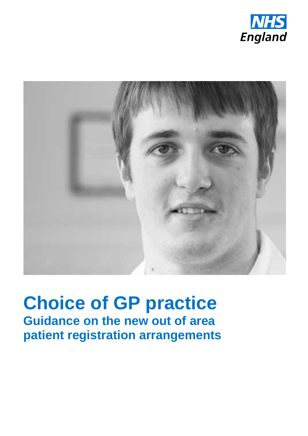



# **Choice of GP practice Guidance on the new out of area patient registration arrangements**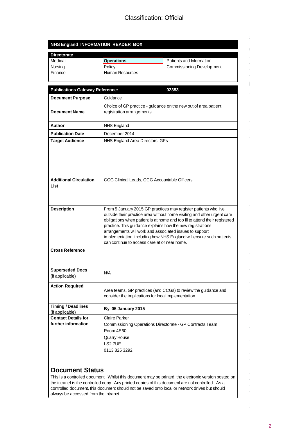### Classification: Official

| NHS England INFORMATION READER BOX           |                                                                                                                                                                                                                                                                                                                                                                                                                                                                          |  |
|----------------------------------------------|--------------------------------------------------------------------------------------------------------------------------------------------------------------------------------------------------------------------------------------------------------------------------------------------------------------------------------------------------------------------------------------------------------------------------------------------------------------------------|--|
| <b>Directorate</b>                           |                                                                                                                                                                                                                                                                                                                                                                                                                                                                          |  |
| Medical                                      | Patients and Information<br><b>Operations</b>                                                                                                                                                                                                                                                                                                                                                                                                                            |  |
| Nursina                                      | Policy<br><b>Commissioning Development</b>                                                                                                                                                                                                                                                                                                                                                                                                                               |  |
| Finance                                      | <b>Human Resources</b>                                                                                                                                                                                                                                                                                                                                                                                                                                                   |  |
| <b>Publications Gateway Reference:</b>       | 02353                                                                                                                                                                                                                                                                                                                                                                                                                                                                    |  |
| <b>Document Purpose</b>                      | Guidance                                                                                                                                                                                                                                                                                                                                                                                                                                                                 |  |
| <b>Document Name</b>                         | Choice of GP practice - guidance on the new out of area patient<br>registration arrangements                                                                                                                                                                                                                                                                                                                                                                             |  |
| Author                                       | <b>NHS England</b>                                                                                                                                                                                                                                                                                                                                                                                                                                                       |  |
| <b>Publication Date</b>                      | December 2014                                                                                                                                                                                                                                                                                                                                                                                                                                                            |  |
| <b>Target Audience</b>                       | NHS England Area Directors, GPs                                                                                                                                                                                                                                                                                                                                                                                                                                          |  |
| <b>Additional Circulation</b><br>List        | CCG Clinical Leads, CCG Accountable Officers                                                                                                                                                                                                                                                                                                                                                                                                                             |  |
| <b>Description</b>                           | From 5 January 2015 GP practices may register patients who live<br>outside their practice area without home visiting and other urgent care<br>obligations when patient is at home and too ill to attend their registered<br>practice. This guidance explains how the new registrations<br>arrangements will work and associated issues to support<br>implementation, including how NHS England will ensure such patients<br>can continue to access care at or near home. |  |
| <b>Cross Reference</b>                       |                                                                                                                                                                                                                                                                                                                                                                                                                                                                          |  |
| <b>Superseded Docs</b><br>(if applicable)    | N/A                                                                                                                                                                                                                                                                                                                                                                                                                                                                      |  |
| <b>Action Required</b>                       | Area teams, GP practices (and CCGs) to review the guidance and<br>consider the implications for local implementation                                                                                                                                                                                                                                                                                                                                                     |  |
| <b>Timing / Deadlines</b><br>(if applicable) | By 05 January 2015                                                                                                                                                                                                                                                                                                                                                                                                                                                       |  |
| <b>Contact Details for</b>                   | Claire Parker                                                                                                                                                                                                                                                                                                                                                                                                                                                            |  |
| further information                          | Commissioning Operations Directorate - GP Contracts Team                                                                                                                                                                                                                                                                                                                                                                                                                 |  |
|                                              | Room 4E60                                                                                                                                                                                                                                                                                                                                                                                                                                                                |  |
|                                              | Quarry House                                                                                                                                                                                                                                                                                                                                                                                                                                                             |  |
|                                              | LS2 7UE                                                                                                                                                                                                                                                                                                                                                                                                                                                                  |  |
|                                              | 0113 825 3292                                                                                                                                                                                                                                                                                                                                                                                                                                                            |  |
| <b>Document Status</b>                       |                                                                                                                                                                                                                                                                                                                                                                                                                                                                          |  |
| always be accessed from the intranet         | This is a controlled document. Whilst this document may be printed, the electronic version posted on<br>the intranet is the controlled copy. Any printed copies of this document are not controlled. As a<br>controlled document, this document should not be saved onto local or network drives but should                                                                                                                                                              |  |

 $\frac{1}{\sqrt{2}}$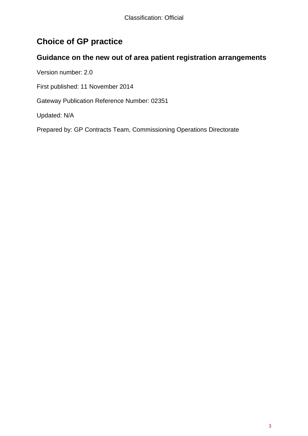# **Choice of GP practice**

### **Guidance on the new out of area patient registration arrangements**

Version number: 2.0

First published: 11 November 2014

Gateway Publication Reference Number: 02351

Updated: N/A

Prepared by: GP Contracts Team, Commissioning Operations Directorate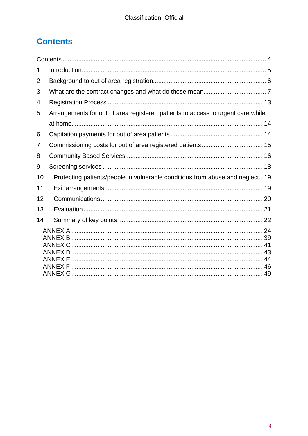# <span id="page-3-0"></span>**Contents**

<span id="page-3-1"></span>

| 1  |                                                                                 |  |  |
|----|---------------------------------------------------------------------------------|--|--|
| 2  |                                                                                 |  |  |
| 3  |                                                                                 |  |  |
| 4  |                                                                                 |  |  |
| 5  | Arrangements for out of area registered patients to access to urgent care while |  |  |
|    |                                                                                 |  |  |
| 6  |                                                                                 |  |  |
| 7  |                                                                                 |  |  |
| 8  |                                                                                 |  |  |
| 9  |                                                                                 |  |  |
| 10 | Protecting patients/people in vulnerable conditions from abuse and neglect 19   |  |  |
| 11 |                                                                                 |  |  |
| 12 |                                                                                 |  |  |
| 13 |                                                                                 |  |  |
| 14 |                                                                                 |  |  |
|    |                                                                                 |  |  |
|    |                                                                                 |  |  |
|    |                                                                                 |  |  |
|    |                                                                                 |  |  |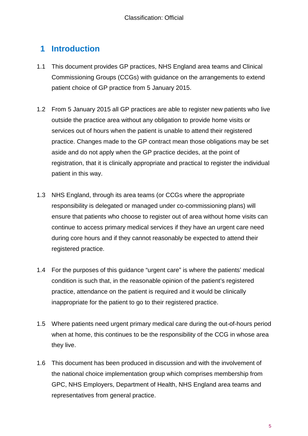# <span id="page-4-0"></span>**1 Introduction**

- 1.1 This document provides GP practices, NHS England area teams and Clinical Commissioning Groups (CCGs) with guidance on the arrangements to extend patient choice of GP practice from 5 January 2015.
- 1.2 From 5 January 2015 all GP practices are able to register new patients who live outside the practice area without any obligation to provide home visits or services out of hours when the patient is unable to attend their registered practice. Changes made to the GP contract mean those obligations may be set aside and do not apply when the GP practice decides, at the point of registration, that it is clinically appropriate and practical to register the individual patient in this way.
- 1.3 NHS England, through its area teams (or CCGs where the appropriate responsibility is delegated or managed under co-commissioning plans) will ensure that patients who choose to register out of area without home visits can continue to access primary medical services if they have an urgent care need during core hours and if they cannot reasonably be expected to attend their registered practice.
- 1.4 For the purposes of this guidance "urgent care" is where the patients' medical condition is such that, in the reasonable opinion of the patient's registered practice, attendance on the patient is required and it would be clinically inappropriate for the patient to go to their registered practice.
- 1.5 Where patients need urgent primary medical care during the out-of-hours period when at home, this continues to be the responsibility of the CCG in whose area they live.
- 1.6 This document has been produced in discussion and with the involvement of the national choice implementation group which comprises membership from GPC, NHS Employers, Department of Health, NHS England area teams and representatives from general practice.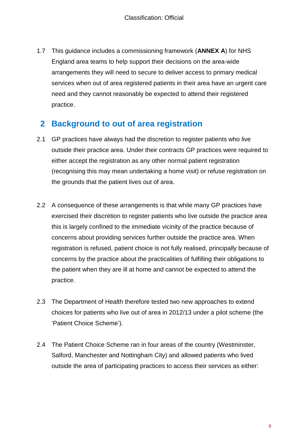1.7 This guidance includes a commissioning framework (**[ANNEX A](#page-23-0)**) for NHS England area teams to help support their decisions on the area-wide arrangements they will need to secure to deliver access to primary medical services when out of area registered patients in their area have an urgent care need and they cannot reasonably be expected to attend their registered practice.

# <span id="page-5-0"></span>**2 Background to out of area registration**

- 2.1 GP practices have always had the discretion to register patients who live outside their practice area. Under their contracts GP practices were required to either accept the registration as any other normal patient registration (recognising this may mean undertaking a home visit) or refuse registration on the grounds that the patient lives out of area.
- 2.2 A consequence of these arrangements is that while many GP practices have exercised their discretion to register patients who live outside the practice area this is largely confined to the immediate vicinity of the practice because of concerns about providing services further outside the practice area. When registration is refused, patient choice is not fully realised, principally because of concerns by the practice about the practicalities of fulfilling their obligations to the patient when they are ill at home and cannot be expected to attend the practice.
- 2.3 The Department of Health therefore tested two new approaches to extend choices for patients who live out of area in 2012/13 under a pilot scheme (the 'Patient Choice Scheme').
- 2.4 The Patient Choice Scheme ran in four areas of the country (Westminster, Salford, Manchester and Nottingham City) and allowed patients who lived outside the area of participating practices to access their services as either: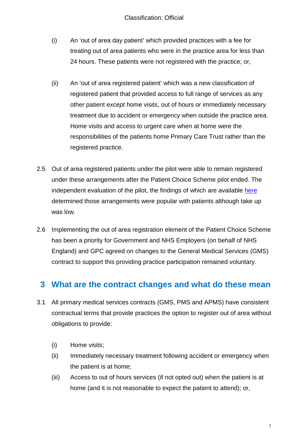- (i) An 'out of area day patient' which provided practices with a fee for treating out of area patients who were in the practice area for less than 24 hours. These patients were not registered with the practice; or,
- (ii) An 'out of area registered patient' which was a new classification of registered patient that provided access to full range of services as any other patient *except* home visits, out of hours or immediately necessary treatment due to accident or emergency when outside the practice area. Home visits and access to urgent care when at home were the responsibilities of the patients home Primary Care Trust rather than the registered practice.
- 2.5 Out of area registered patients under the pilot were able to remain registered under these arrangements after the Patient Choice Scheme pilot ended. The independent evaluation of the pilot, the findings of which are available [here](http://www.piru.ac.uk/assets/files/General%20Practice%20Choice%20Pilot%20Evaluation.pdf) determined those arrangements were popular with patients although take up was low.
- 2.6 Implementing the out of area registration element of the Patient Choice Scheme has been a priority for Government and NHS Employers (on behalf of NHS England) and GPC agreed on changes to the General Medical Services (GMS) contract to support this providing practice participation remained voluntary.

# <span id="page-6-0"></span>**3 What are the contract changes and what do these mean**

- 3.1 All primary medical services contracts (GMS, PMS and APMS) have consistent contractual terms that provide practices the option to register out of area without obligations to provide:
	- (i) Home visits;
	- (ii) Immediately necessary treatment following accident or emergency when the patient is at home;
	- (iii) Access to out of hours services (if not opted out) when the patient is at home (and it is not reasonable to expect the patient to attend); or,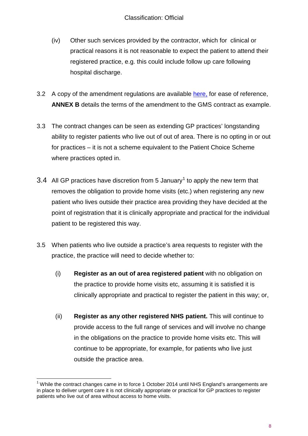- (iv) Other such services provided by the contractor, which for clinical or practical reasons it is not reasonable to expect the patient to attend their registered practice, e.g. this could include follow up care following hospital discharge.
- 3.2 A copy of the amendment regulations are available [here,](http://www.legislation.gov.uk/uksi/2014/465/contents/made) for ease of reference, **[ANNEX B](#page-38-0)** details the terms of the amendment to the GMS contract as example.
- 3.3 The contract changes can be seen as extending GP practices' longstanding ability to register patients who live out of out of area. There is no opting in or out for practices – it is not a scheme equivalent to the Patient Choice Scheme where practices opted in.
- 3.4 All GP practices have discretion from 5 January<sup>[1](#page-3-1)</sup> to apply the new term that removes the obligation to provide home visits (etc.) when registering any new patient who lives outside their practice area providing they have decided at the point of registration that it is clinically appropriate and practical for the individual patient to be registered this way.
- 3.5 When patients who live outside a practice's area requests to register with the practice, the practice will need to decide whether to:
	- (i) **Register as an out of area registered patient** with no obligation on the practice to provide home visits etc, assuming it is satisfied it is clinically appropriate and practical to register the patient in this way; or,
	- (ii) **Register as any other registered NHS patient.** This will continue to provide access to the full range of services and will involve no change in the obligations on the practice to provide home visits etc. This will continue to be appropriate, for example, for patients who live just outside the practice area.

<span id="page-7-0"></span> $1$  While the contract changes came in to force 1 October 2014 until NHS England's arrangements are in place to deliver urgent care it is not clinically appropriate or practical for GP practices to register patients who live out of area without access to home visits.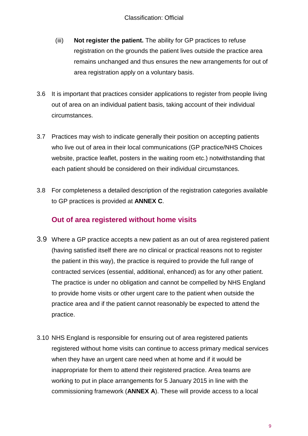- (iii) **Not register the patient.** The ability for GP practices to refuse registration on the grounds the patient lives outside the practice area remains unchanged and thus ensures the new arrangements for out of area registration apply on a voluntary basis.
- 3.6 It is important that practices consider applications to register from people living out of area on an individual patient basis, taking account of their individual circumstances.
- 3.7 Practices may wish to indicate generally their position on accepting patients who live out of area in their local communications (GP practice/NHS Choices website, practice leaflet, posters in the waiting room etc.) notwithstanding that each patient should be considered on their individual circumstances.
- 3.8 For completeness a detailed description of the registration categories available to GP practices is provided at **[ANNEX C](#page-40-0)**.

### **Out of area registered without home visits**

- 3.9 Where a GP practice accepts a new patient as an out of area registered patient (having satisfied itself there are no clinical or practical reasons not to register the patient in this way), the practice is required to provide the full range of contracted services (essential, additional, enhanced) as for any other patient. The practice is under no obligation and cannot be compelled by NHS England to provide home visits or other urgent care to the patient when outside the practice area and if the patient cannot reasonably be expected to attend the practice.
- 3.10 NHS England is responsible for ensuring out of area registered patients registered without home visits can continue to access primary medical services when they have an urgent care need when at home and if it would be inappropriate for them to attend their registered practice. Area teams are working to put in place arrangements for 5 January 2015 in line with the commissioning framework (**[ANNEX A](#page-23-0)**). These will provide access to a local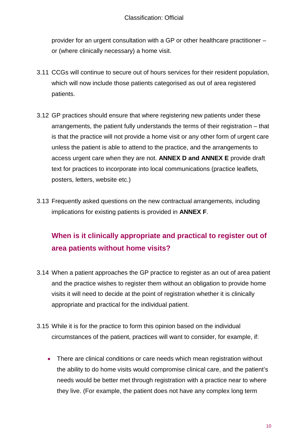provider for an urgent consultation with a GP or other healthcare practitioner – or (where clinically necessary) a home visit.

- 3.11 CCGs will continue to secure out of hours services for their resident population, which will now include those patients categorised as out of area registered patients.
- 3.12 GP practices should ensure that where registering new patients under these arrangements, the patient fully understands the terms of their registration – that is that the practice will not provide a home visit or any other form of urgent care unless the patient is able to attend to the practice, and the arrangements to access urgent care when they are not. **[ANNEX D](#page-42-0) and [ANNEX E](#page-43-0)** provide draft text for practices to incorporate into local communications (practice leaflets, posters, letters, website etc.)
- 3.13 Frequently asked questions on the new contractual arrangements, including implications for existing patients is provided in **[ANNEX F](#page-45-0)**.

# **When is it clinically appropriate and practical to register out of area patients without home visits?**

- 3.14 When a patient approaches the GP practice to register as an out of area patient and the practice wishes to register them without an obligation to provide home visits it will need to decide at the point of registration whether it is clinically appropriate and practical for the individual patient.
- 3.15 While it is for the practice to form this opinion based on the individual circumstances of the patient, practices will want to consider, for example, if:
	- There are clinical conditions or care needs which mean registration without the ability to do home visits would compromise clinical care, and the patient's needs would be better met through registration with a practice near to where they live. (For example, the patient does not have any complex long term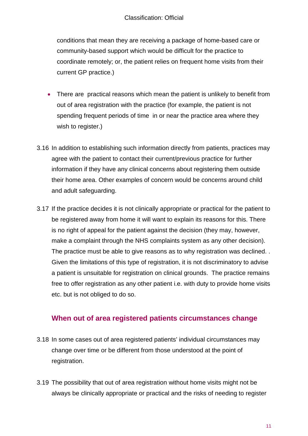#### Classification: Official

conditions that mean they are receiving a package of home-based care or community-based support which would be difficult for the practice to coordinate remotely; or, the patient relies on frequent home visits from their current GP practice.)

- There are practical reasons which mean the patient is unlikely to benefit from out of area registration with the practice (for example, the patient is not spending frequent periods of time in or near the practice area where they wish to register.)
- 3.16 In addition to establishing such information directly from patients, practices may agree with the patient to contact their current/previous practice for further information if they have any clinical concerns about registering them outside their home area. Other examples of concern would be concerns around child and adult safeguarding.
- 3.17 If the practice decides it is not clinically appropriate or practical for the patient to be registered away from home it will want to explain its reasons for this. There is no right of appeal for the patient against the decision (they may, however, make a complaint through the NHS complaints system as any other decision). The practice must be able to give reasons as to why registration was declined. . Given the limitations of this type of registration, it is not discriminatory to advise a patient is unsuitable for registration on clinical grounds. The practice remains free to offer registration as any other patient i.e. with duty to provide home visits etc. but is not obliged to do so.

### **When out of area registered patients circumstances change**

- 3.18 In some cases out of area registered patients' individual circumstances may change over time or be different from those understood at the point of registration.
- 3.19 The possibility that out of area registration without home visits might not be always be clinically appropriate or practical and the risks of needing to register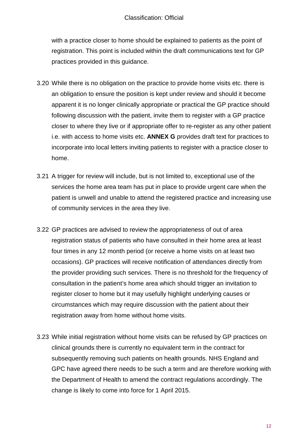with a practice closer to home should be explained to patients as the point of registration. This point is included within the draft communications text for GP practices provided in this guidance.

- 3.20 While there is no obligation on the practice to provide home visits etc. there is an obligation to ensure the position is kept under review and should it become apparent it is no longer clinically appropriate or practical the GP practice should following discussion with the patient, invite them to register with a GP practice closer to where they live or if appropriate offer to re-register as any other patient i.e. with access to home visits etc. **[ANNEX G](#page-48-0)** provides draft text for practices to incorporate into local letters inviting patients to register with a practice closer to home.
- 3.21 A trigger for review will include, but is not limited to, exceptional use of the services the home area team has put in place to provide urgent care when the patient is unwell and unable to attend the registered practice and increasing use of community services in the area they live.
- 3.22 GP practices are advised to review the appropriateness of out of area registration status of patients who have consulted in their home area at least four times in any 12 month period (or receive a home visits on at least two occasions). GP practices will receive notification of attendances directly from the provider providing such services. There is no threshold for the frequency of consultation in the patient's home area which should trigger an invitation to register closer to home but it may usefully highlight underlying causes or circumstances which may require discussion with the patient about their registration away from home without home visits.
- 3.23 While initial registration without home visits can be refused by GP practices on clinical grounds there is currently no equivalent term in the contract for subsequently removing such patients on health grounds. NHS England and GPC have agreed there needs to be such a term and are therefore working with the Department of Health to amend the contract regulations accordingly. The change is likely to come into force for 1 April 2015.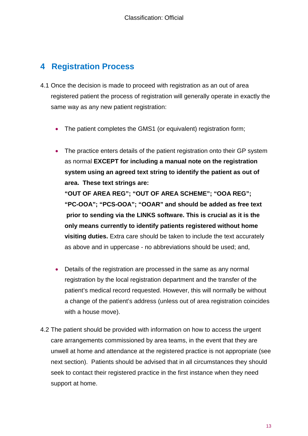# <span id="page-12-0"></span>**4 Registration Process**

- 4.1 Once the decision is made to proceed with registration as an out of area registered patient the process of registration will generally operate in exactly the same way as any new patient registration:
	- The patient completes the GMS1 (or equivalent) registration form;
	- The practice enters details of the patient registration onto their GP system as normal **EXCEPT for including a manual note on the registration system using an agreed text string to identify the patient as out of area. These text strings are: "OUT OF AREA REG"; "OUT OF AREA SCHEME"; "OOA REG"; "PC-OOA"; "PCS-OOA"; "OOAR" and should be added as free text prior to sending via the LINKS software. This is crucial as it is the only means currently to identify patients registered without home visiting duties.** Extra care should be taken to include the text accurately as above and in uppercase - no abbreviations should be used; and,
	- Details of the registration are processed in the same as any normal registration by the local registration department and the transfer of the patient's medical record requested. However, this will normally be without a change of the patient's address (unless out of area registration coincides with a house move).
- 4.2 The patient should be provided with information on how to access the urgent care arrangements commissioned by area teams, in the event that they are unwell at home and attendance at the registered practice is not appropriate (see next section). Patients should be advised that in all circumstances they should seek to contact their registered practice in the first instance when they need support at home.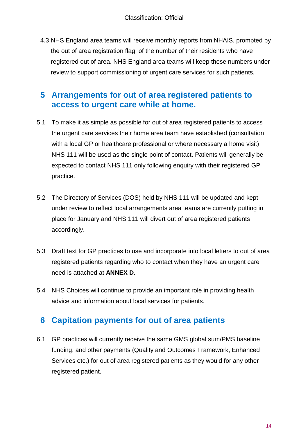4.3 NHS England area teams will receive monthly reports from NHAIS, prompted by the out of area registration flag, of the number of their residents who have registered out of area. NHS England area teams will keep these numbers under review to support commissioning of urgent care services for such patients.

# <span id="page-13-0"></span>**5 Arrangements for out of area registered patients to access to urgent care while at home.**

- 5.1 To make it as simple as possible for out of area registered patients to access the urgent care services their home area team have established (consultation with a local GP or healthcare professional or where necessary a home visit) NHS 111 will be used as the single point of contact. Patients will generally be expected to contact NHS 111 only following enquiry with their registered GP practice.
- 5.2 The Directory of Services (DOS) held by NHS 111 will be updated and kept under review to reflect local arrangements area teams are currently putting in place for January and NHS 111 will divert out of area registered patients accordingly.
- 5.3 Draft text for GP practices to use and incorporate into local letters to out of area registered patients regarding who to contact when they have an urgent care need is attached at **[ANNEX D](#page-42-0)**.
- 5.4 NHS Choices will continue to provide an important role in providing health advice and information about local services for patients.

# <span id="page-13-1"></span>**6 Capitation payments for out of area patients**

6.1 GP practices will currently receive the same GMS global sum/PMS baseline funding, and other payments (Quality and Outcomes Framework, Enhanced Services etc.) for out of area registered patients as they would for any other registered patient.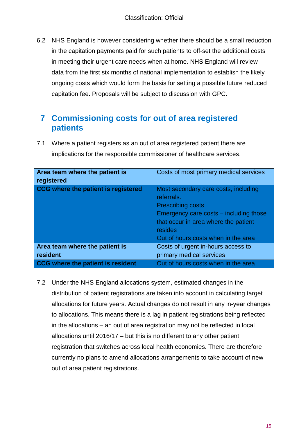6.2 NHS England is however considering whether there should be a small reduction in the capitation payments paid for such patients to off-set the additional costs in meeting their urgent care needs when at home. NHS England will review data from the first six months of national implementation to establish the likely ongoing costs which would form the basis for setting a possible future reduced capitation fee. Proposals will be subject to discussion with GPC.

# <span id="page-14-0"></span>**7 Commissioning costs for out of area registered patients**

7.1 Where a patient registers as an out of area registered patient there are implications for the responsible commissioner of healthcare services.

| Area team where the patient is<br>registered | Costs of most primary medical services                                                                                                                                                                             |
|----------------------------------------------|--------------------------------------------------------------------------------------------------------------------------------------------------------------------------------------------------------------------|
| CCG where the patient is registered          | Most secondary care costs, including<br>referrals.<br><b>Prescribing costs</b><br>Emergency care costs – including those<br>that occur in area where the patient<br>resides<br>Out of hours costs when in the area |
| Area team where the patient is               | Costs of urgent in-hours access to                                                                                                                                                                                 |
| resident                                     | primary medical services                                                                                                                                                                                           |
| CCG where the patient is resident            | Out of hours costs when in the area                                                                                                                                                                                |

7.2 Under the NHS England allocations system, estimated changes in the distribution of patient registrations are taken into account in calculating target allocations for future years. Actual changes do not result in any in-year changes to allocations. This means there is a lag in patient registrations being reflected in the allocations – an out of area registration may not be reflected in local allocations until 2016/17 – but this is no different to any other patient registration that switches across local health economies. There are therefore currently no plans to amend allocations arrangements to take account of new out of area patient registrations.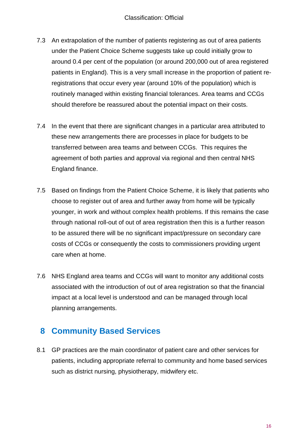- 7.3 An extrapolation of the number of patients registering as out of area patients under the Patient Choice Scheme suggests take up could initially grow to around 0.4 per cent of the population (or around 200,000 out of area registered patients in England). This is a very small increase in the proportion of patient reregistrations that occur every year (around 10% of the population) which is routinely managed within existing financial tolerances. Area teams and CCGs should therefore be reassured about the potential impact on their costs.
- 7.4 In the event that there are significant changes in a particular area attributed to these new arrangements there are processes in place for budgets to be transferred between area teams and between CCGs. This requires the agreement of both parties and approval via regional and then central NHS England finance.
- 7.5 Based on findings from the Patient Choice Scheme, it is likely that patients who choose to register out of area and further away from home will be typically younger, in work and without complex health problems. If this remains the case through national roll-out of out of area registration then this is a further reason to be assured there will be no significant impact/pressure on secondary care costs of CCGs or consequently the costs to commissioners providing urgent care when at home.
- 7.6 NHS England area teams and CCGs will want to monitor any additional costs associated with the introduction of out of area registration so that the financial impact at a local level is understood and can be managed through local planning arrangements.

# <span id="page-15-0"></span>**8 Community Based Services**

8.1 GP practices are the main coordinator of patient care and other services for patients, including appropriate referral to community and home based services such as district nursing, physiotherapy, midwifery etc.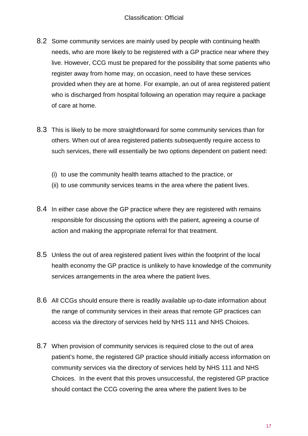- 8.2 Some community services are mainly used by people with continuing health needs, who are more likely to be registered with a GP practice near where they live. However, CCG must be prepared for the possibility that some patients who register away from home may, on occasion, need to have these services provided when they are at home. For example, an out of area registered patient who is discharged from hospital following an operation may require a package of care at home.
- 8.3 This is likely to be more straightforward for some community services than for others. When out of area registered patients subsequently require access to such services, there will essentially be two options dependent on patient need:
	- (i) to use the community health teams attached to the practice, or
	- (ii) to use community services teams in the area where the patient lives.
- 8.4 In either case above the GP practice where they are registered with remains responsible for discussing the options with the patient, agreeing a course of action and making the appropriate referral for that treatment.
- 8.5 Unless the out of area registered patient lives within the footprint of the local health economy the GP practice is unlikely to have knowledge of the community services arrangements in the area where the patient lives.
- 8.6 All CCGs should ensure there is readily available up-to-date information about the range of community services in their areas that remote GP practices can access via the directory of services held by NHS 111 and NHS Choices.
- 8.7 When provision of community services is required close to the out of area patient's home, the registered GP practice should initially access information on community services via the directory of services held by NHS 111 and NHS Choices. In the event that this proves unsuccessful, the registered GP practice should contact the CCG covering the area where the patient lives to be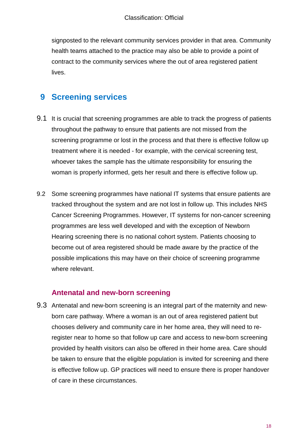signposted to the relevant community services provider in that area. Community health teams attached to the practice may also be able to provide a point of contract to the community services where the out of area registered patient lives.

# <span id="page-17-0"></span>**9 Screening services**

- 9.1 It is crucial that screening programmes are able to track the progress of patients throughout the pathway to ensure that patients are not missed from the screening programme or lost in the process and that there is effective follow up treatment where it is needed - for example, with the cervical screening test, whoever takes the sample has the ultimate responsibility for ensuring the woman is properly informed, gets her result and there is effective follow up.
- 9.2 Some screening programmes have national IT systems that ensure patients are tracked throughout the system and are not lost in follow up. This includes NHS Cancer Screening Programmes. However, IT systems for non-cancer screening programmes are less well developed and with the exception of Newborn Hearing screening there is no national cohort system. Patients choosing to become out of area registered should be made aware by the practice of the possible implications this may have on their choice of screening programme where relevant.

### **Antenatal and new-born screening**

9.3 Antenatal and new-born screening is an integral part of the maternity and newborn care pathway. Where a woman is an out of area registered patient but chooses delivery and community care in her home area, they will need to reregister near to home so that follow up care and access to new-born screening provided by health visitors can also be offered in their home area. Care should be taken to ensure that the eligible population is invited for screening and there is effective follow up. GP practices will need to ensure there is proper handover of care in these circumstances.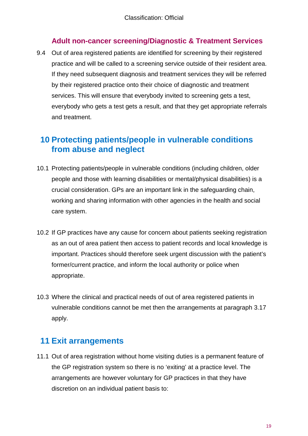### **Adult non-cancer screening/Diagnostic & Treatment Services**

9.4 Out of area registered patients are identified for screening by their registered practice and will be called to a screening service outside of their resident area. If they need subsequent diagnosis and treatment services they will be referred by their registered practice onto their choice of diagnostic and treatment services. This will ensure that everybody invited to screening gets a test, everybody who gets a test gets a result, and that they get appropriate referrals and treatment.

# <span id="page-18-0"></span>**10 Protecting patients/people in vulnerable conditions from abuse and neglect**

- 10.1 Protecting patients/people in vulnerable conditions (including children, older people and those with learning disabilities or mental/physical disabilities) is a crucial consideration. GPs are an important link in the safeguarding chain, working and sharing information with other agencies in the health and social care system.
- 10.2 If GP practices have any cause for concern about patients seeking registration as an out of area patient then access to patient records and local knowledge is important. Practices should therefore seek urgent discussion with the patient's former/current practice, and inform the local authority or police when appropriate.
- 10.3 Where the clinical and practical needs of out of area registered patients in vulnerable conditions cannot be met then the arrangements at paragraph 3.17 apply.

# <span id="page-18-1"></span>**11 Exit arrangements**

11.1 Out of area registration without home visiting duties is a permanent feature of the GP registration system so there is no 'exiting' at a practice level. The arrangements are however voluntary for GP practices in that they have discretion on an individual patient basis to: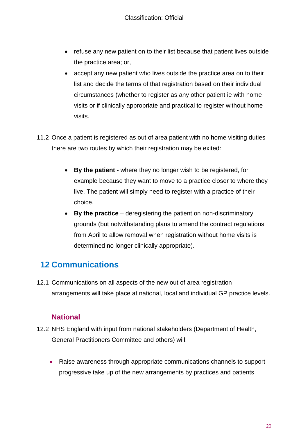- refuse any new patient on to their list because that patient lives outside the practice area; or,
- accept any new patient who lives outside the practice area on to their list and decide the terms of that registration based on their individual circumstances (whether to register as any other patient ie with home visits or if clinically appropriate and practical to register without home visits.
- 11.2 Once a patient is registered as out of area patient with no home visiting duties there are two routes by which their registration may be exited:
	- **By the patient** where they no longer wish to be registered, for example because they want to move to a practice closer to where they live. The patient will simply need to register with a practice of their choice.
	- **By the practice** deregistering the patient on non-discriminatory grounds (but notwithstanding plans to amend the contract regulations from April to allow removal when registration without home visits is determined no longer clinically appropriate).

# <span id="page-19-0"></span>**12 Communications**

12.1 Communications on all aspects of the new out of area registration arrangements will take place at national, local and individual GP practice levels.

### **National**

- 12.2 NHS England with input from national stakeholders (Department of Health, General Practitioners Committee and others) will:
	- Raise awareness through appropriate communications channels to support progressive take up of the new arrangements by practices and patients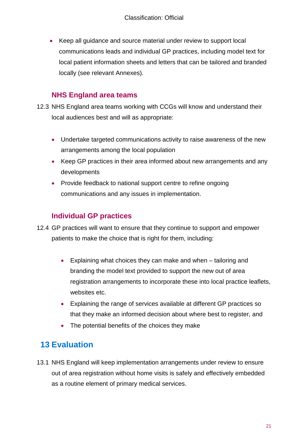• Keep all guidance and source material under review to support local communications leads and individual GP practices, including model text for local patient information sheets and letters that can be tailored and branded locally (see relevant Annexes).

### **NHS England area teams**

- 12.3 NHS England area teams working with CCGs will know and understand their local audiences best and will as appropriate:
	- Undertake targeted communications activity to raise awareness of the new arrangements among the local population
	- Keep GP practices in their area informed about new arrangements and any developments
	- Provide feedback to national support centre to refine ongoing communications and any issues in implementation.

### **Individual GP practices**

- 12.4 GP practices will want to ensure that they continue to support and empower patients to make the choice that is right for them, including:
	- Explaining what choices they can make and when tailoring and branding the model text provided to support the new out of area registration arrangements to incorporate these into local practice leaflets, websites etc.
	- Explaining the range of services available at different GP practices so that they make an informed decision about where best to register, and
	- The potential benefits of the choices they make

# <span id="page-20-0"></span>**13 Evaluation**

13.1 NHS England will keep implementation arrangements under review to ensure out of area registration without home visits is safely and effectively embedded as a routine element of primary medical services.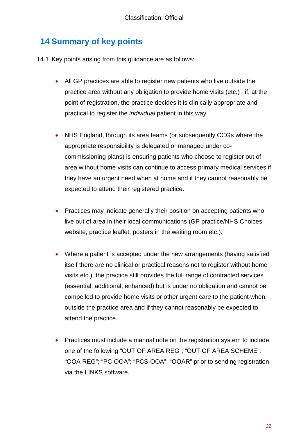# <span id="page-21-0"></span>**14 Summary of key points**

- 14.1 Key points arising from this guidance are as follows:
	- All GP practices are able to register new patients who live outside the practice area without any obligation to provide home visits (etc.) if, at the point of registration, the practice decides it is clinically appropriate and practical to register the *individual* patient in this way.
	- NHS England, through its area teams (or subsequently CCGs where the appropriate responsibility is delegated or managed under cocommissioning plans) is ensuring patients who choose to register out of area without home visits can continue to access primary medical services if they have an urgent need when at home and if they cannot reasonably be expected to attend their registered practice.
	- Practices may indicate generally their position on accepting patients who live out of area in their local communications (GP practice/NHS Choices website, practice leaflet, posters in the waiting room etc.).
	- Where a patient is accepted under the new arrangements (having satisfied itself there are no clinical or practical reasons not to register without home visits etc.), the practice still provides the full range of contracted services (essential, additional, enhanced) but is under no obligation and cannot be compelled to provide home visits or other urgent care to the patient when outside the practice area and if they cannot reasonably be expected to attend the practice.
	- Practices must include a manual note on the registration system to include one of the following "OUT OF AREA REG"; "OUT OF AREA SCHEME"; "OOA REG"; "PC-OOA"; "PCS-OOA"; "OOAR" prior to sending registration via the LINKS software.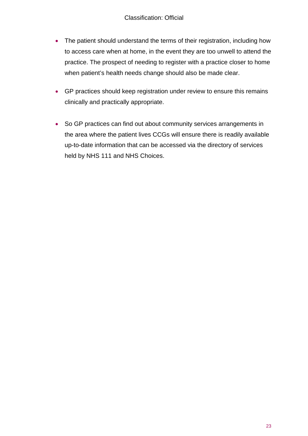- The patient should understand the terms of their registration, including how to access care when at home, in the event they are too unwell to attend the practice. The prospect of needing to register with a practice closer to home when patient's health needs change should also be made clear.
- GP practices should keep registration under review to ensure this remains clinically and practically appropriate.
- So GP practices can find out about community services arrangements in the area where the patient lives CCGs will ensure there is readily available up-to-date information that can be accessed via the directory of services held by NHS 111 and NHS Choices.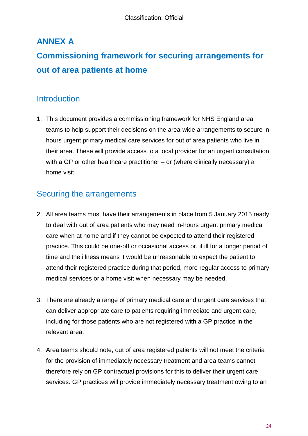# <span id="page-23-0"></span>**ANNEX A**

# **Commissioning framework for securing arrangements for out of area patients at home**

### **Introduction**

1. This document provides a commissioning framework for NHS England area teams to help support their decisions on the area-wide arrangements to secure inhours urgent primary medical care services for out of area patients who live in their area. These will provide access to a local provider for an urgent consultation with a GP or other healthcare practitioner – or (where clinically necessary) a home visit.

# Securing the arrangements

- 2. All area teams must have their arrangements in place from 5 January 2015 ready to deal with out of area patients who may need in-hours urgent primary medical care when at home and if they cannot be expected to attend their registered practice. This could be one-off or occasional access or, if ill for a longer period of time and the illness means it would be unreasonable to expect the patient to attend their registered practice during that period, more regular access to primary medical services or a home visit when necessary may be needed.
- 3. There are already a range of primary medical care and urgent care services that can deliver appropriate care to patients requiring immediate and urgent care, including for those patients who are not registered with a GP practice in the relevant area.
- 4. Area teams should note, out of area registered patients will not meet the criteria for the provision of immediately necessary treatment and area teams cannot therefore rely on GP contractual provisions for this to deliver their urgent care services. GP practices will provide immediately necessary treatment owing to an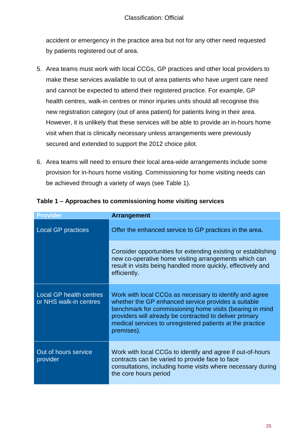accident or emergency in the practice area but not for any other need requested by patients registered out of area.

- 5. Area teams must work with local CCGs, GP practices and other local providers to make these services available to out of area patients who have urgent care need and cannot be expected to attend their registered practice. For example, GP health centres, walk-in centres or minor injuries units should all recognise this new registration category (out of area patient) for patients living in their area. However, it is unlikely that these services will be able to provide an in-hours home visit when that is clinically necessary unless arrangements were previously secured and extended to support the 2012 choice pilot.
- 6. Area teams will need to ensure their local area-wide arrangements include some provision for in-hours home visiting. Commissioning for home visiting needs can be achieved through a variety of ways (see Table 1).

| Provider                                          | Arrangement                                                                                                                                                                                                                                                                                                      |
|---------------------------------------------------|------------------------------------------------------------------------------------------------------------------------------------------------------------------------------------------------------------------------------------------------------------------------------------------------------------------|
| <b>Local GP practices</b>                         | Offer the enhanced service to GP practices in the area.                                                                                                                                                                                                                                                          |
|                                                   | Consider opportunities for extending existing or establishing<br>new co-operative home visiting arrangements which can<br>result in visits being handled more quickly, effectively and<br>efficiently.                                                                                                           |
| Local GP health centres<br>or NHS walk-in centres | Work with local CCGs as necessary to identify and agree<br>whether the GP enhanced service provides a suitable<br>benchmark for commissioning home visits (bearing in mind<br>providers will already be contracted to deliver primary<br>medical services to unregistered patients at the practice<br>premises). |
| Out of hours service<br>provider                  | Work with local CCGs to identify and agree if out-of-hours<br>contracts can be varied to provide face to face<br>consultations, including home visits where necessary during<br>the core hours period                                                                                                            |

#### **Table 1 – Approaches to commissioning home visiting services**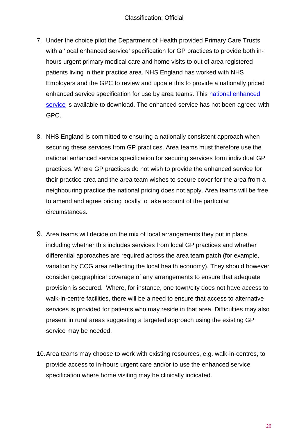- 7. Under the choice pilot the Department of Health provided Primary Care Trusts with a 'local enhanced service' specification for GP practices to provide both inhours urgent primary medical care and home visits to out of area registered patients living in their practice area. NHS England has worked with NHS Employers and the GPC to review and update this to provide a nationally priced enhanced service specification for use by area teams. This [national enhanced](http://www.england.nhs.uk/wp-content/uploads/2014/11/gp-con-enhanced-service-out-area-reg.pdf)  [service](http://www.england.nhs.uk/wp-content/uploads/2014/11/gp-con-enhanced-service-out-area-reg.pdf) is available to download. The enhanced service has not been agreed with GPC.
- 8. NHS England is committed to ensuring a nationally consistent approach when securing these services from GP practices. Area teams must therefore use the national enhanced service specification for securing services form individual GP practices. Where GP practices do not wish to provide the enhanced service for their practice area and the area team wishes to secure cover for the area from a neighbouring practice the national pricing does not apply. Area teams will be free to amend and agree pricing locally to take account of the particular circumstances.
- 9. Area teams will decide on the mix of local arrangements they put in place, including whether this includes services from local GP practices and whether differential approaches are required across the area team patch (for example, variation by CCG area reflecting the local health economy). They should however consider geographical coverage of any arrangements to ensure that adequate provision is secured. Where, for instance, one town/city does not have access to walk-in-centre facilities, there will be a need to ensure that access to alternative services is provided for patients who may reside in that area. Difficulties may also present in rural areas suggesting a targeted approach using the existing GP service may be needed.
- 10.Area teams may choose to work with existing resources, e.g. walk-in-centres, to provide access to in-hours urgent care and/or to use the enhanced service specification where home visiting may be clinically indicated.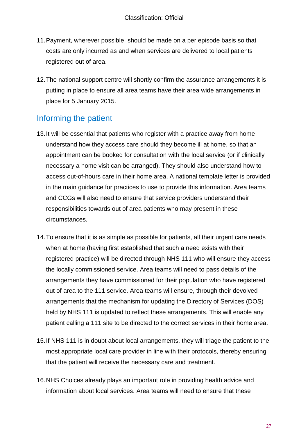- 11.Payment, wherever possible, should be made on a per episode basis so that costs are only incurred as and when services are delivered to local patients registered out of area.
- 12.The national support centre will shortly confirm the assurance arrangements it is putting in place to ensure all area teams have their area wide arrangements in place for 5 January 2015.

# Informing the patient

- 13.It will be essential that patients who register with a practice away from home understand how they access care should they become ill at home, so that an appointment can be booked for consultation with the local service (or if clinically necessary a home visit can be arranged). They should also understand how to access out-of-hours care in their home area. A national template letter is provided in the main guidance for practices to use to provide this information. Area teams and CCGs will also need to ensure that service providers understand their responsibilities towards out of area patients who may present in these circumstances.
- 14.To ensure that it is as simple as possible for patients, all their urgent care needs when at home (having first established that such a need exists with their registered practice) will be directed through NHS 111 who will ensure they access the locally commissioned service. Area teams will need to pass details of the arrangements they have commissioned for their population who have registered out of area to the 111 service. Area teams will ensure, through their devolved arrangements that the mechanism for updating the Directory of Services (DOS) held by NHS 111 is updated to reflect these arrangements. This will enable any patient calling a 111 site to be directed to the correct services in their home area.
- 15.If NHS 111 is in doubt about local arrangements, they will triage the patient to the most appropriate local care provider in line with their protocols, thereby ensuring that the patient will receive the necessary care and treatment.
- 16.NHS Choices already plays an important role in providing health advice and information about local services. Area teams will need to ensure that these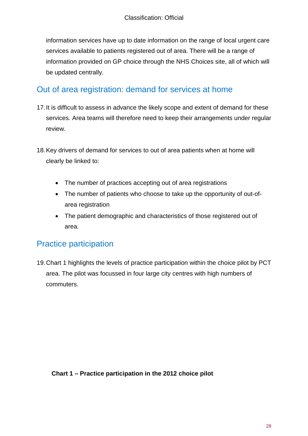information services have up to date information on the range of local urgent care services available to patients registered out of area. There will be a range of information provided on GP choice through the NHS Choices site, all of which will be updated centrally.

### Out of area registration: demand for services at home

- 17.It is difficult to assess in advance the likely scope and extent of demand for these services. Area teams will therefore need to keep their arrangements under regular review.
- 18.Key drivers of demand for services to out of area patients when at home will clearly be linked to:
	- The number of practices accepting out of area registrations
	- The number of patients who choose to take up the opportunity of out-ofarea registration
	- The patient demographic and characteristics of those registered out of area.

# Practice participation

19.Chart 1 highlights the levels of practice participation within the choice pilot by PCT area. The pilot was focussed in four large city centres with high numbers of commuters.

#### **Chart 1 – Practice participation in the 2012 choice pilot**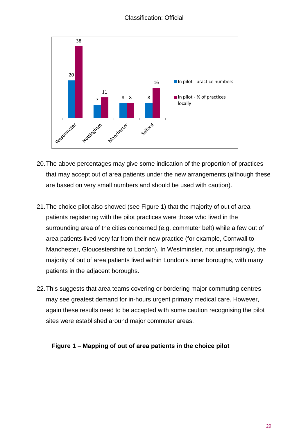#### Classification: Official



- 20.The above percentages may give some indication of the proportion of practices that may accept out of area patients under the new arrangements (although these are based on very small numbers and should be used with caution).
- 21.The choice pilot also showed (see Figure 1) that the majority of out of area patients registering with the pilot practices were those who lived in the surrounding area of the cities concerned (e.g. commuter belt) while a few out of area patients lived very far from their new practice (for example, Cornwall to Manchester, Gloucestershire to London). In Westminster, not unsurprisingly, the majority of out of area patients lived within London's inner boroughs, with many patients in the adjacent boroughs.
- 22.This suggests that area teams covering or bordering major commuting centres may see greatest demand for in-hours urgent primary medical care. However, again these results need to be accepted with some caution recognising the pilot sites were established around major commuter areas.

#### **Figure 1 – Mapping of out of area patients in the choice pilot**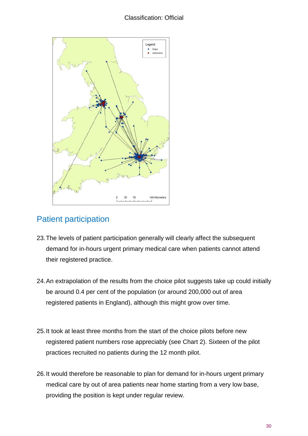### Classification: Official



# Patient participation

- 23.The levels of patient participation generally will clearly affect the subsequent demand for in-hours urgent primary medical care when patients cannot attend their registered practice.
- 24.An extrapolation of the results from the choice pilot suggests take up could initially be around 0.4 per cent of the population (or around 200,000 out of area registered patients in England), although this might grow over time.
- 25.It took at least three months from the start of the choice pilots before new registered patient numbers rose appreciably (see Chart 2). Sixteen of the pilot practices recruited no patients during the 12 month pilot.
- 26.It would therefore be reasonable to plan for demand for in-hours urgent primary medical care by out of area patients near home starting from a very low base, providing the position is kept under regular review.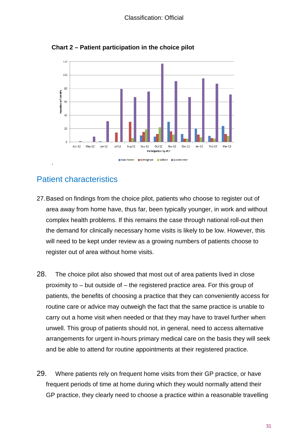

**Chart 2 – Patient participation in the choice pilot**

### Patient characteristics

- 27.Based on findings from the choice pilot, patients who choose to register out of area away from home have, thus far, been typically younger, in work and without complex health problems. If this remains the case through national roll-out then the demand for clinically necessary home visits is likely to be low. However, this will need to be kept under review as a growing numbers of patients choose to register out of area without home visits.
- 28. The choice pilot also showed that most out of area patients lived in close proximity to – but outside of – the registered practice area. For this group of patients, the benefits of choosing a practice that they can conveniently access for routine care or advice may outweigh the fact that the same practice is unable to carry out a home visit when needed or that they may have to travel further when unwell. This group of patients should not, in general, need to access alternative arrangements for urgent in-hours primary medical care on the basis they will seek and be able to attend for routine appointments at their registered practice.
- 29. Where patients rely on frequent home visits from their GP practice, or have frequent periods of time at home during which they would normally attend their GP practice, they clearly need to choose a practice within a reasonable travelling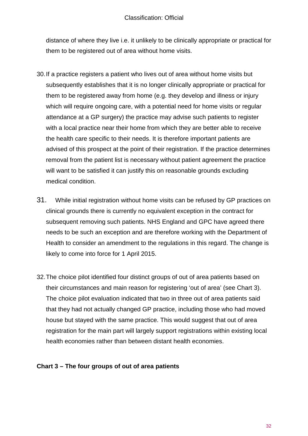#### Classification: Official

distance of where they live i.e. it unlikely to be clinically appropriate or practical for them to be registered out of area without home visits.

- 30.If a practice registers a patient who lives out of area without home visits but subsequently establishes that it is no longer clinically appropriate or practical for them to be registered away from home (e.g. they develop and illness or injury which will require ongoing care, with a potential need for home visits or regular attendance at a GP surgery) the practice may advise such patients to register with a local practice near their home from which they are better able to receive the health care specific to their needs. It is therefore important patients are advised of this prospect at the point of their registration. If the practice determines removal from the patient list is necessary without patient agreement the practice will want to be satisfied it can justify this on reasonable grounds excluding medical condition.
- 31. While initial registration without home visits can be refused by GP practices on clinical grounds there is currently no equivalent exception in the contract for subsequent removing such patients. NHS England and GPC have agreed there needs to be such an exception and are therefore working with the Department of Health to consider an amendment to the regulations in this regard. The change is likely to come into force for 1 April 2015.
- 32.The choice pilot identified four distinct groups of out of area patients based on their circumstances and main reason for registering 'out of area' (see Chart 3). The choice pilot evaluation indicated that two in three out of area patients said that they had not actually changed GP practice, including those who had moved house but stayed with the same practice. This would suggest that out of area registration for the main part will largely support registrations within existing local health economies rather than between distant health economies.

#### **Chart 3 – The four groups of out of area patients**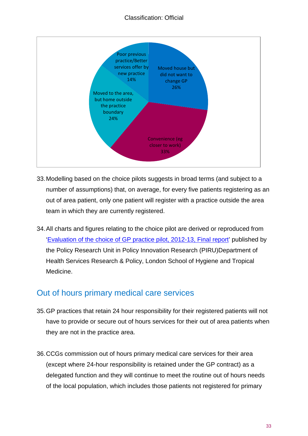### Classification: Official



- 33.Modelling based on the choice pilots suggests in broad terms (and subject to a number of assumptions) that, on average, for every five patients registering as an out of area patient, only one patient will register with a practice outside the area team in which they are currently registered.
- 34.All charts and figures relating to the choice pilot are derived or reproduced from ['Evaluation of the choice of GP practice pilot, 2012-13, Final report'](http://www.piru.ac.uk/assets/files/General%20Practice%20Choice%20Pilot%20Evaluation.pdf) published by the Policy Research Unit in Policy Innovation Research (PIRU)Department of Health Services Research & Policy, London School of Hygiene and Tropical Medicine.

### Out of hours primary medical care services

- 35.GP practices that retain 24 hour responsibility for their registered patients will not have to provide or secure out of hours services for their out of area patients when they are not in the practice area.
- 36.CCGs commission out of hours primary medical care services for their area (except where 24-hour responsibility is retained under the GP contract) as a delegated function and they will continue to meet the routine out of hours needs of the local population, which includes those patients not registered for primary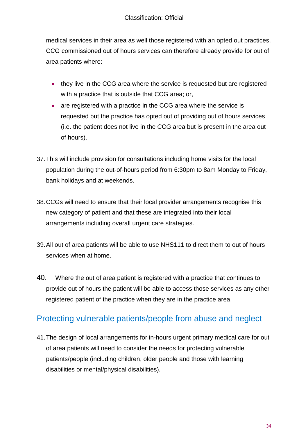medical services in their area as well those registered with an opted out practices. CCG commissioned out of hours services can therefore already provide for out of area patients where:

- they live in the CCG area where the service is requested but are registered with a practice that is outside that CCG area; or,
- are registered with a practice in the CCG area where the service is requested but the practice has opted out of providing out of hours services (i.e. the patient does not live in the CCG area but is present in the area out of hours).
- 37.This will include provision for consultations including home visits for the local population during the out-of-hours period from 6:30pm to 8am Monday to Friday, bank holidays and at weekends.
- 38.CCGs will need to ensure that their local provider arrangements recognise this new category of patient and that these are integrated into their local arrangements including overall urgent care strategies.
- 39.All out of area patients will be able to use NHS111 to direct them to out of hours services when at home.
- 40. Where the out of area patient is registered with a practice that continues to provide out of hours the patient will be able to access those services as any other registered patient of the practice when they are in the practice area.

# Protecting vulnerable patients/people from abuse and neglect

41.The design of local arrangements for in-hours urgent primary medical care for out of area patients will need to consider the needs for protecting vulnerable patients/people (including children, older people and those with learning disabilities or mental/physical disabilities).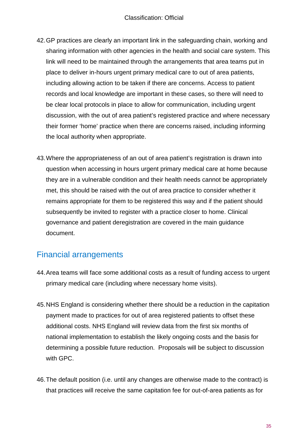- 42.GP practices are clearly an important link in the safeguarding chain, working and sharing information with other agencies in the health and social care system. This link will need to be maintained through the arrangements that area teams put in place to deliver in-hours urgent primary medical care to out of area patients, including allowing action to be taken if there are concerns. Access to patient records and local knowledge are important in these cases, so there will need to be clear local protocols in place to allow for communication, including urgent discussion, with the out of area patient's registered practice and where necessary their former 'home' practice when there are concerns raised, including informing the local authority when appropriate.
- 43.Where the appropriateness of an out of area patient's registration is drawn into question when accessing in hours urgent primary medical care at home because they are in a vulnerable condition and their health needs cannot be appropriately met, this should be raised with the out of area practice to consider whether it remains appropriate for them to be registered this way and if the patient should subsequently be invited to register with a practice closer to home. Clinical governance and patient deregistration are covered in the main guidance document.

# Financial arrangements

- 44.Area teams will face some additional costs as a result of funding access to urgent primary medical care (including where necessary home visits).
- 45.NHS England is considering whether there should be a reduction in the capitation payment made to practices for out of area registered patients to offset these additional costs. NHS England will review data from the first six months of national implementation to establish the likely ongoing costs and the basis for determining a possible future reduction. Proposals will be subject to discussion with GPC.
- 46.The default position (i.e. until any changes are otherwise made to the contract) is that practices will receive the same capitation fee for out-of-area patients as for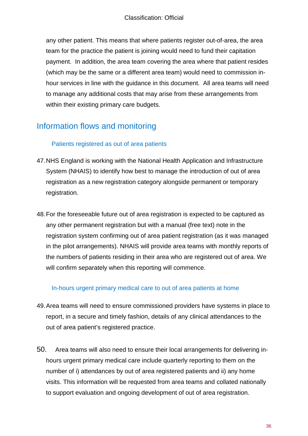any other patient. This means that where patients register out-of-area, the area team for the practice the patient is joining would need to fund their capitation payment. In addition, the area team covering the area where that patient resides (which may be the same or a different area team) would need to commission inhour services in line with the guidance in this document. All area teams will need to manage any additional costs that may arise from these arrangements from within their existing primary care budgets.

# Information flows and monitoring

#### Patients registered as out of area patients

- 47.NHS England is working with the National Health Application and Infrastructure System (NHAIS) to identify how best to manage the introduction of out of area registration as a new registration category alongside permanent or temporary registration.
- 48.For the foreseeable future out of area registration is expected to be captured as any other permanent registration but with a manual (free text) note in the registration system confirming out of area patient registration (as it was managed in the pilot arrangements). NHAIS will provide area teams with monthly reports of the numbers of patients residing in their area who are registered out of area. We will confirm separately when this reporting will commence.

#### In-hours urgent primary medical care to out of area patients at home

- 49.Area teams will need to ensure commissioned providers have systems in place to report, in a secure and timely fashion, details of any clinical attendances to the out of area patient's registered practice.
- 50. Area teams will also need to ensure their local arrangements for delivering inhours urgent primary medical care include quarterly reporting to them on the number of i) attendances by out of area registered patients and ii) any home visits. This information will be requested from area teams and collated nationally to support evaluation and ongoing development of out of area registration.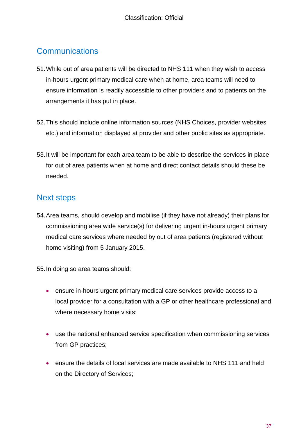## **Communications**

- 51.While out of area patients will be directed to NHS 111 when they wish to access in-hours urgent primary medical care when at home, area teams will need to ensure information is readily accessible to other providers and to patients on the arrangements it has put in place.
- 52.This should include online information sources (NHS Choices, provider websites etc.) and information displayed at provider and other public sites as appropriate.
- 53.It will be important for each area team to be able to describe the services in place for out of area patients when at home and direct contact details should these be needed.

# Next steps

54.Area teams, should develop and mobilise (if they have not already) their plans for commissioning area wide service(s) for delivering urgent in-hours urgent primary medical care services where needed by out of area patients (registered without home visiting) from 5 January 2015.

55.In doing so area teams should:

- ensure in-hours urgent primary medical care services provide access to a local provider for a consultation with a GP or other healthcare professional and where necessary home visits;
- use the national enhanced service specification when commissioning services from GP practices;
- ensure the details of local services are made available to NHS 111 and held on the Directory of Services;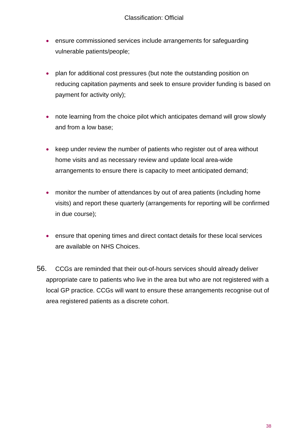- ensure commissioned services include arrangements for safeguarding vulnerable patients/people;
- plan for additional cost pressures (but note the outstanding position on reducing capitation payments and seek to ensure provider funding is based on payment for activity only);
- note learning from the choice pilot which anticipates demand will grow slowly and from a low base;
- keep under review the number of patients who register out of area without home visits and as necessary review and update local area-wide arrangements to ensure there is capacity to meet anticipated demand;
- monitor the number of attendances by out of area patients (including home visits) and report these quarterly (arrangements for reporting will be confirmed in due course);
- ensure that opening times and direct contact details for these local services are available on NHS Choices.
- 56. CCGs are reminded that their out-of-hours services should already deliver appropriate care to patients who live in the area but who are not registered with a local GP practice. CCGs will want to ensure these arrangements recognise out of area registered patients as a discrete cohort.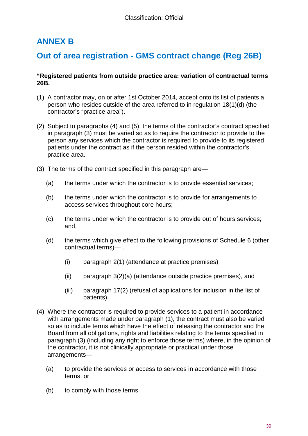# <span id="page-38-0"></span>**ANNEX B**

### **Out of area registration - GMS contract change (Reg 26B)**

#### **"Registered patients from outside practice area: variation of contractual terms 26B.**

- (1) A contractor may, on or after 1st October 2014, accept onto its list of patients a person who resides outside of the area referred to in regulation 18(1)(d) (the contractor's "practice area").
- (2) Subject to paragraphs (4) and (5), the terms of the contractor's contract specified in paragraph (3) must be varied so as to require the contractor to provide to the person any services which the contractor is required to provide to its registered patients under the contract as if the person resided within the contractor's practice area.
- (3) The terms of the contract specified in this paragraph are—
	- (a) the terms under which the contractor is to provide essential services;
	- (b) the terms under which the contractor is to provide for arrangements to access services throughout core hours;
	- (c) the terms under which the contractor is to provide out of hours services; and,
	- (d) the terms which give effect to the following provisions of Schedule 6 (other contractual terms)— .
		- (i) paragraph 2(1) (attendance at practice premises)
		- (ii) paragraph 3(2)(a) (attendance outside practice premises), and
		- (iii) paragraph 17(2) (refusal of applications for inclusion in the list of patients).
- (4) Where the contractor is required to provide services to a patient in accordance with arrangements made under paragraph (1), the contract must also be varied so as to include terms which have the effect of releasing the contractor and the Board from all obligations, rights and liabilities relating to the terms specified in paragraph (3) (including any right to enforce those terms) where, in the opinion of the contractor, it is not clinically appropriate or practical under those arrangements—
	- (a) to provide the services or access to services in accordance with those terms; or,
	- (b) to comply with those terms.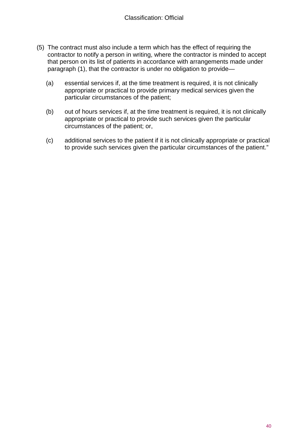- (5) The contract must also include a term which has the effect of requiring the contractor to notify a person in writing, where the contractor is minded to accept that person on its list of patients in accordance with arrangements made under paragraph (1), that the contractor is under no obligation to provide—
	- (a) essential services if, at the time treatment is required, it is not clinically appropriate or practical to provide primary medical services given the particular circumstances of the patient;
	- (b) out of hours services if, at the time treatment is required, it is not clinically appropriate or practical to provide such services given the particular circumstances of the patient; or,
	- (c) additional services to the patient if it is not clinically appropriate or practical to provide such services given the particular circumstances of the patient."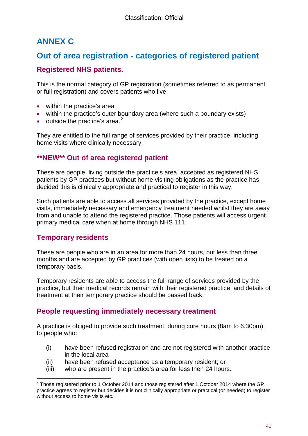# <span id="page-40-0"></span>**ANNEX C**

### **Out of area registration - categories of registered patient**

### **Registered NHS patients.**

This is the normal category of GP registration (sometimes referred to as permanent or full registration) and covers patients who live:

- within the practice's area
- within the practice's outer boundary area (where such a boundary exists)
- outside the practice's area.**[2](#page-7-0)**

They are entitled to the full range of services provided by their practice, including home visits where clinically necessary.

### **\*\*NEW\*\* Out of area registered patient**

These are people, living outside the practice's area, accepted as registered NHS patients by GP practices but without home visiting obligations as the practice has decided this is clinically appropriate and practical to register in this way.

Such patients are able to access all services provided by the practice, except home visits, immediately necessary and emergency treatment needed whilst they are away from and unable to attend the registered practice. Those patients will access urgent primary medical care when at home through NHS 111.

### **Temporary residents**

These are people who are in an area for more than 24 hours, but less than three months and are accepted by GP practices (with open lists) to be treated on a temporary basis.

Temporary residents are able to access the full range of services provided by the practice, but their medical records remain with their registered practice, and details of treatment at their temporary practice should be passed back.

### **People requesting immediately necessary treatment**

A practice is obliged to provide such treatment, during core hours (8am to 6.30pm), to people who:

- (i) have been refused registration and are not registered with another practice in the local area
- (ii) have been refused acceptance as a temporary resident; or
- (iii) who are present in the practice's area for less then 24 hours.

 $2$  Those registered prior to 1 October 2014 and those registered after 1 October 2014 where the GP practice agrees to register but decides it is not clinically appropriate or practical (or needed) to register without access to home visits etc.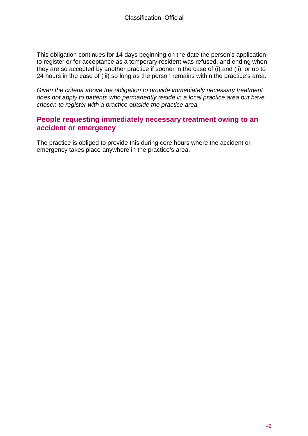This obligation continues for 14 days beginning on the date the person's application to register or for acceptance as a temporary resident was refused, and ending when they are so accepted by another practice if sooner in the case of (i) and (ii), or up to 24 hours in the case of (iii) so long as the person remains within the practice's area.

*Given the criteria above the obligation to provide immediately necessary treatment does not apply to patients who permanently reside in a local practice area but have chosen to register with a practice outside the practice area.*

### **People requesting immediately necessary treatment owing to an accident or emergency**

The practice is obliged to provide this during core hours where the accident or emergency takes place anywhere in the practice's area.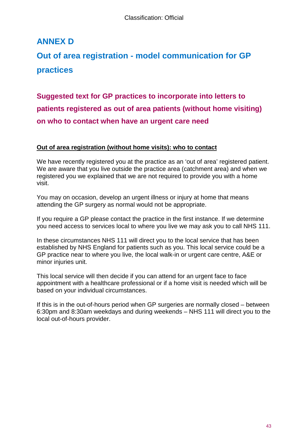# <span id="page-42-0"></span>**ANNEX D**

# **Out of area registration - model communication for GP practices**

**Suggested text for GP practices to incorporate into letters to patients registered as out of area patients (without home visiting) on who to contact when have an urgent care need**

#### **Out of area registration (without home visits): who to contact**

We have recently registered you at the practice as an 'out of area' registered patient. We are aware that you live outside the practice area (catchment area) and when we registered you we explained that we are not required to provide you with a home visit.

You may on occasion, develop an urgent illness or injury at home that means attending the GP surgery as normal would not be appropriate.

If you require a GP please contact the practice in the first instance. If we determine you need access to services local to where you live we may ask you to call NHS 111.

In these circumstances NHS 111 will direct you to the local service that has been established by NHS England for patients such as you. This local service could be a GP practice near to where you live, the local walk-in or urgent care centre, A&E or minor injuries unit.

This local service will then decide if you can attend for an urgent face to face appointment with a healthcare professional or if a home visit is needed which will be based on your individual circumstances.

If this is in the out-of-hours period when GP surgeries are normally closed – between 6:30pm and 8:30am weekdays and during weekends – NHS 111 will direct you to the local out-of-hours provider.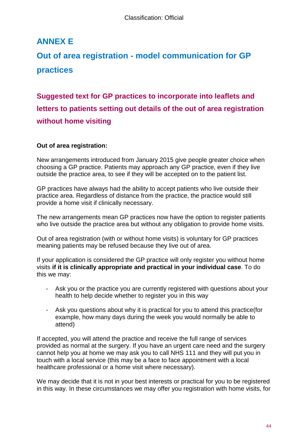# <span id="page-43-0"></span>**ANNEX E**

# **Out of area registration - model communication for GP practices**

**Suggested text for GP practices to incorporate into leaflets and letters to patients setting out details of the out of area registration without home visiting**

#### **Out of area registration:**

New arrangements introduced from January 2015 give people greater choice when choosing a GP practice. Patients may approach any GP practice, even if they live outside the practice area, to see if they will be accepted on to the patient list.

GP practices have always had the ability to accept patients who live outside their practice area. Regardless of distance from the practice, the practice would still provide a home visit if clinically necessary.

The new arrangements mean GP practices now have the option to register patients who live outside the practice area but without any obligation to provide home visits.

Out of area registration (with or without home visits) is voluntary for GP practices meaning patients may be refused because they live out of area.

If your application is considered the GP practice will only register you without home visits **if it is clinically appropriate and practical in your individual case**. To do this we may:

- Ask you or the practice you are currently registered with questions about your health to help decide whether to register you in this way
- Ask you questions about why it is practical for you to attend this practice(for example, how many days during the week you would normally be able to attend)

If accepted, you will attend the practice and receive the full range of services provided as normal at the surgery. If you have an urgent care need and the surgery cannot help you at home we may ask you to call NHS 111 and they will put you in touch with a local service (this may be a face to face appointment with a local healthcare professional or a home visit where necessary).

We may decide that it is not in your best interests or practical for you to be registered in this way. In these circumstances we may offer you registration with home visits, for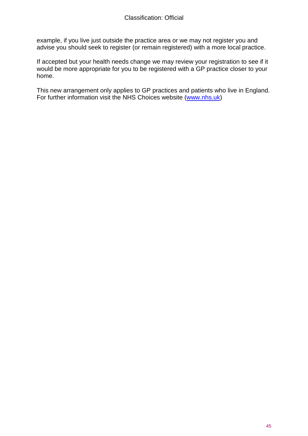example, if you live just outside the practice area or we may not register you and advise you should seek to register (or remain registered) with a more local practice.

If accepted but your health needs change we may review your registration to see if it would be more appropriate for you to be registered with a GP practice closer to your home.

This new arrangement only applies to GP practices and patients who live in England. For further information visit the NHS Choices website [\(www.nhs.uk\)](http://www.nhs.uk/)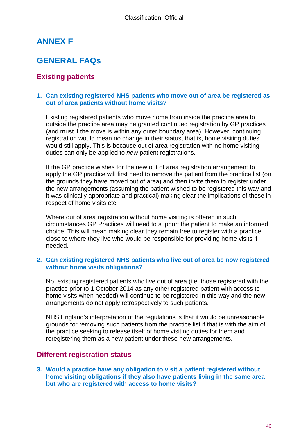# <span id="page-45-0"></span>**ANNEX F**

# **GENERAL FAQs**

### **Existing patients**

#### **1. Can existing registered NHS patients who move out of area be registered as out of area patients without home visits?**

Existing registered patients who move home from inside the practice area to outside the practice area may be granted continued registration by GP practices (and must if the move is within any outer boundary area). However, continuing registration would mean no change in their status, that is, home visiting duties would still apply. This is because out of area registration with no home visiting duties can only be applied to *new* patient registrations.

If the GP practice wishes for the new out of area registration arrangement to apply the GP practice will first need to remove the patient from the practice list (on the grounds they have moved out of area) and then invite them to register under the new arrangements (assuming the patient wished to be registered this way and it was clinically appropriate and practical) making clear the implications of these in respect of home visits etc.

Where out of area registration without home visiting is offered in such circumstances GP Practices will need to support the patient to make an informed choice. This will mean making clear they remain free to register with a practice close to where they live who would be responsible for providing home visits if needed.

#### **2. Can existing registered NHS patients who live out of area be now registered without home visits obligations?**

No, existing registered patients who live out of area (i.e. those registered with the practice prior to 1 October 2014 as any other registered patient with access to home visits when needed) will continue to be registered in this way and the new arrangements do not apply retrospectively to such patients.

NHS England's interpretation of the regulations is that it would be unreasonable grounds for removing such patients from the practice list if that is with the aim of the practice seeking to release itself of home visiting duties for them and reregistering them as a new patient under these new arrangements.

#### **Different registration status**

**3. Would a practice have any obligation to visit a patient registered without home visiting obligations if they also have patients living in the same area but who are registered with access to home visits?**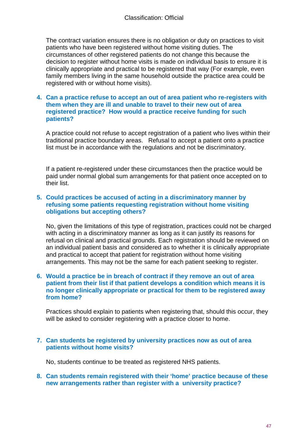The contract variation ensures there is no obligation or duty on practices to visit patients who have been registered without home visiting duties. The circumstances of other registered patients do not change this because the decision to register without home visits is made on individual basis to ensure it is clinically appropriate and practical to be registered that way (For example, even family members living in the same household outside the practice area could be registered with or without home visits).

#### **4. Can a practice refuse to accept an out of area patient who re-registers with them when they are ill and unable to travel to their new out of area registered practice? How would a practice receive funding for such patients?**

A practice could not refuse to accept registration of a patient who lives within their traditional practice boundary areas. Refusal to accept a patient onto a practice list must be in accordance with the regulations and not be discriminatory.

If a patient re-registered under these circumstances then the practice would be paid under normal global sum arrangements for that patient once accepted on to their list.

#### **5. Could practices be accused of acting in a discriminatory manner by refusing some patients requesting registration without home visiting obligations but accepting others?**

No, given the limitations of this type of registration, practices could not be charged with acting in a discriminatory manner as long as it can justify its reasons for refusal on clinical and practical grounds. Each registration should be reviewed on an individual patient basis and considered as to whether it is clinically appropriate and practical to accept that patient for registration without home visiting arrangements. This may not be the same for each patient seeking to register.

#### **6. Would a practice be in breach of contract if they remove an out of area patient from their list if that patient develops a condition which means it is no longer clinically appropriate or practical for them to be registered away from home?**

Practices should explain to patients when registering that, should this occur, they will be asked to consider registering with a practice closer to home.

#### **7. Can students be registered by university practices now as out of area patients without home visits?**

No, students continue to be treated as registered NHS patients.

**8. Can students remain registered with their 'home' practice because of these new arrangements rather than register with a university practice?**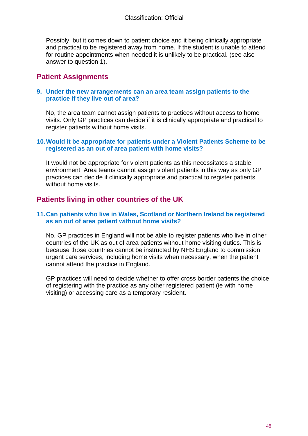Possibly, but it comes down to patient choice and it being clinically appropriate and practical to be registered away from home. If the student is unable to attend for routine appointments when needed it is unlikely to be practical. (see also answer to question 1).

### **Patient Assignments**

#### **9. Under the new arrangements can an area team assign patients to the practice if they live out of area?**

No, the area team cannot assign patients to practices without access to home visits. Only GP practices can decide if it is clinically appropriate and practical to register patients without home visits.

#### **10.Would it be appropriate for patients under a Violent Patients Scheme to be registered as an out of area patient with home visits?**

It would not be appropriate for violent patients as this necessitates a stable environment. Area teams cannot assign violent patients in this way as only GP practices can decide if clinically appropriate and practical to register patients without home visits.

### **Patients living in other countries of the UK**

#### **11.Can patients who live in Wales, Scotland or Northern Ireland be registered as an out of area patient without home visits?**

No, GP practices in England will not be able to register patients who live in other countries of the UK as out of area patients without home visiting duties. This is because those countries cannot be instructed by NHS England to commission urgent care services, including home visits when necessary, when the patient cannot attend the practice in England.

GP practices will need to decide whether to offer cross border patients the choice of registering with the practice as any other registered patient (ie with home visiting) or accessing care as a temporary resident.